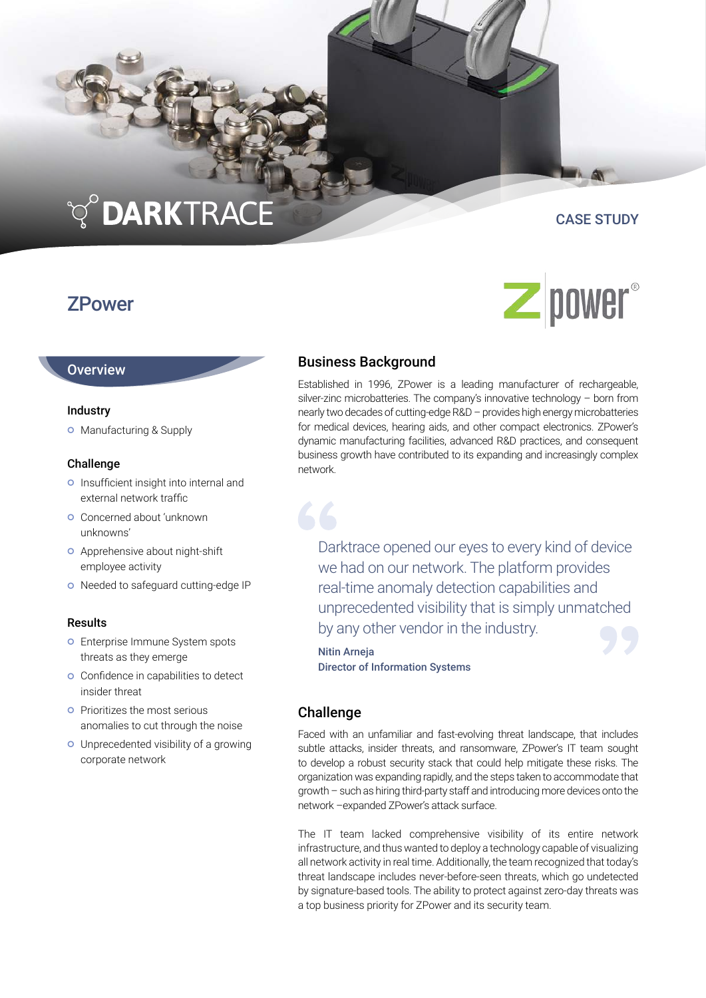# TO DARKTRACE

# **ZPower**

## CASE STUDY

**Z** power<sup>®</sup>

### Business Background

Established in 1996, ZPower is a leading manufacturer of rechargeable, silver-zinc microbatteries. The company's innovative technology – born from nearly two decades of cutting-edge R&D – provides high energy microbatteries for medical devices, hearing aids, and other compact electronics. ZPower's dynamic manufacturing facilities, advanced R&D practices, and consequent business growth have contributed to its expanding and increasingly complex network.

Darktrace opened our eyes to every kind of device we had on our network. The platform provides real-time anomaly detection capabilities and unprecedented visibility that is simply unmatched by any other vendor in the industry.

Nitin Arneja Director of Information Systems

#### **Challenge**

Faced with an unfamiliar and fast-evolving threat landscape, that includes subtle attacks, insider threats, and ransomware, ZPower's IT team sought to develop a robust security stack that could help mitigate these risks. The organization was expanding rapidly, and the steps taken to accommodate that growth – such as hiring third-party staff and introducing more devices onto the network –expanded ZPower's attack surface.

The IT team lacked comprehensive visibility of its entire network infrastructure, and thus wanted to deploy a technology capable of visualizing all network activity in real time. Additionally, the team recognized that today's threat landscape includes never-before-seen threats, which go undetected by signature-based tools. The ability to protect against zero-day threats was a top business priority for ZPower and its security team.

### **Overview**

#### Industry

**O** Manufacturing & Supply

#### Challenge

- o Insufficient insight into internal and external network traffic
- Concerned about 'unknown unknowns'
- **o** Apprehensive about night-shift employee activity
- o Needed to safeguard cutting-edge IP

#### Results

- **o** Enterprise Immune System spots threats as they emerge
- **o** Confidence in capabilities to detect insider threat
- **o** Prioritizes the most serious anomalies to cut through the noise
- Unprecedented visibility of a growing corporate network